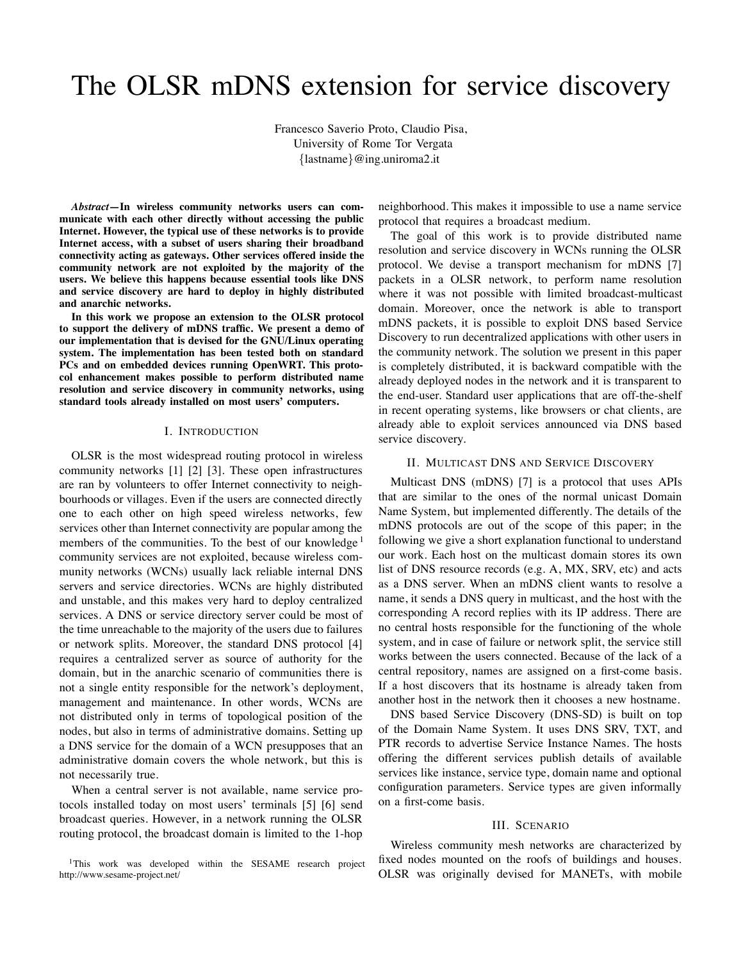# The OLSR mDNS extension for service discovery

Francesco Saverio Proto, Claudio Pisa, University of Rome Tor Vergata {lastname}@ing.uniroma2.it

*Abstract***—In wireless community networks users can communicate with each other directly without accessing the public Internet. However, the typical use of these networks is to provide Internet access, with a subset of users sharing their broadband connectivity acting as gateways. Other services offered inside the community network are not exploited by the majority of the users. We believe this happens because essential tools like DNS and service discovery are hard to deploy in highly distributed and anarchic networks.**

**In this work we propose an extension to the OLSR protocol to support the delivery of mDNS traffic. We present a demo of our implementation that is devised for the GNU/Linux operating system. The implementation has been tested both on standard PCs and on embedded devices running OpenWRT. This protocol enhancement makes possible to perform distributed name resolution and service discovery in community networks, using standard tools already installed on most users' computers.**

# I. INTRODUCTION

OLSR is the most widespread routing protocol in wireless community networks [1] [2] [3]. These open infrastructures are ran by volunteers to offer Internet connectivity to neighbourhoods or villages. Even if the users are connected directly one to each other on high speed wireless networks, few services other than Internet connectivity are popular among the members of the communities. To the best of our knowledge  $<sup>1</sup>$ </sup> community services are not exploited, because wireless community networks (WCNs) usually lack reliable internal DNS servers and service directories. WCNs are highly distributed and unstable, and this makes very hard to deploy centralized services. A DNS or service directory server could be most of the time unreachable to the majority of the users due to failures or network splits. Moreover, the standard DNS protocol [4] requires a centralized server as source of authority for the domain, but in the anarchic scenario of communities there is not a single entity responsible for the network's deployment, management and maintenance. In other words, WCNs are not distributed only in terms of topological position of the nodes, but also in terms of administrative domains. Setting up a DNS service for the domain of a WCN presupposes that an administrative domain covers the whole network, but this is not necessarily true.

When a central server is not available, name service protocols installed today on most users' terminals [5] [6] send broadcast queries. However, in a network running the OLSR routing protocol, the broadcast domain is limited to the 1-hop

neighborhood. This makes it impossible to use a name service protocol that requires a broadcast medium.

The goal of this work is to provide distributed name resolution and service discovery in WCNs running the OLSR protocol. We devise a transport mechanism for mDNS [7] packets in a OLSR network, to perform name resolution where it was not possible with limited broadcast-multicast domain. Moreover, once the network is able to transport mDNS packets, it is possible to exploit DNS based Service Discovery to run decentralized applications with other users in the community network. The solution we present in this paper is completely distributed, it is backward compatible with the already deployed nodes in the network and it is transparent to the end-user. Standard user applications that are off-the-shelf in recent operating systems, like browsers or chat clients, are already able to exploit services announced via DNS based service discovery.

# II. MULTICAST DNS AND SERVICE DISCOVERY

Multicast DNS (mDNS) [7] is a protocol that uses APIs that are similar to the ones of the normal unicast Domain Name System, but implemented differently. The details of the mDNS protocols are out of the scope of this paper; in the following we give a short explanation functional to understand our work. Each host on the multicast domain stores its own list of DNS resource records (e.g. A, MX, SRV, etc) and acts as a DNS server. When an mDNS client wants to resolve a name, it sends a DNS query in multicast, and the host with the corresponding A record replies with its IP address. There are no central hosts responsible for the functioning of the whole system, and in case of failure or network split, the service still works between the users connected. Because of the lack of a central repository, names are assigned on a first-come basis. If a host discovers that its hostname is already taken from another host in the network then it chooses a new hostname.

DNS based Service Discovery (DNS-SD) is built on top of the Domain Name System. It uses DNS SRV, TXT, and PTR records to advertise Service Instance Names. The hosts offering the different services publish details of available services like instance, service type, domain name and optional configuration parameters. Service types are given informally on a first-come basis.

# III. SCENARIO

Wireless community mesh networks are characterized by fixed nodes mounted on the roofs of buildings and houses. OLSR was originally devised for MANETs, with mobile

<sup>&</sup>lt;sup>1</sup>This work was developed within the SESAME research project http://www.sesame-project.net/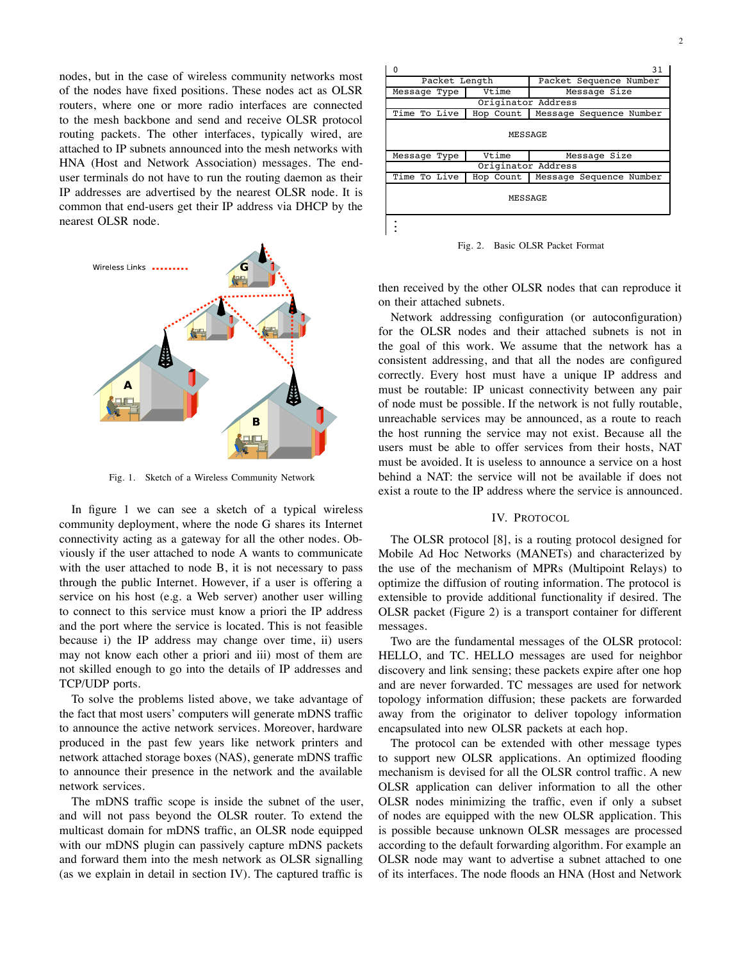nodes, but in the case of wireless community networks most of the nodes have fixed positions. These nodes act as OLSR routers, where one or more radio interfaces are connected to the mesh backbone and send and receive OLSR protocol routing packets. The other interfaces, typically wired, are attached to IP subnets announced into the mesh networks with HNA (Host and Network Association) messages. The enduser terminals do not have to run the routing daemon as their IP addresses are advertised by the nearest OLSR node. It is common that end-users get their IP address via DHCP by the nearest OLSR node.



Fig. 1. Sketch of a Wireless Community Network

In figure 1 we can see a sketch of a typical wireless community deployment, where the node G shares its Internet connectivity acting as a gateway for all the other nodes. Obviously if the user attached to node A wants to communicate with the user attached to node B, it is not necessary to pass through the public Internet. However, if a user is offering a service on his host (e.g. a Web server) another user willing to connect to this service must know a priori the IP address and the port where the service is located. This is not feasible because i) the IP address may change over time, ii) users may not know each other a priori and iii) most of them are not skilled enough to go into the details of IP addresses and TCP/UDP ports.

To solve the problems listed above, we take advantage of the fact that most users' computers will generate mDNS traffic to announce the active network services. Moreover, hardware produced in the past few years like network printers and network attached storage boxes (NAS), generate mDNS traffic to announce their presence in the network and the available network services.

The mDNS traffic scope is inside the subnet of the user, and will not pass beyond the OLSR router. To extend the multicast domain for mDNS traffic, an OLSR node equipped with our mDNS plugin can passively capture mDNS packets and forward them into the mesh network as OLSR signalling (as we explain in detail in section IV). The captured traffic is

| 0                  |           | 31                      |  |
|--------------------|-----------|-------------------------|--|
| Packet Length      |           | Packet Sequence Number  |  |
| Message Type       | Vtime     | Message Size            |  |
| Originator Address |           |                         |  |
| Time To Live       | Hop Count | Message Sequence Number |  |
| MESSAGE            |           |                         |  |
| Message Type       | Vtime     | Message Size            |  |
| Originator Address |           |                         |  |
| Time To Live       | Hop Count | Message Sequence Number |  |
| MESSAGE            |           |                         |  |
|                    |           |                         |  |

Fig. 2. Basic OLSR Packet Format

then received by the other OLSR nodes that can reproduce it on their attached subnets.

Network addressing configuration (or autoconfiguration) for the OLSR nodes and their attached subnets is not in the goal of this work. We assume that the network has a consistent addressing, and that all the nodes are configured correctly. Every host must have a unique IP address and must be routable: IP unicast connectivity between any pair of node must be possible. If the network is not fully routable, unreachable services may be announced, as a route to reach the host running the service may not exist. Because all the users must be able to offer services from their hosts, NAT must be avoided. It is useless to announce a service on a host behind a NAT: the service will not be available if does not exist a route to the IP address where the service is announced.

### IV. PROTOCOL

The OLSR protocol [8], is a routing protocol designed for Mobile Ad Hoc Networks (MANETs) and characterized by the use of the mechanism of MPRs (Multipoint Relays) to optimize the diffusion of routing information. The protocol is extensible to provide additional functionality if desired. The OLSR packet (Figure 2) is a transport container for different messages.

Two are the fundamental messages of the OLSR protocol: HELLO, and TC. HELLO messages are used for neighbor discovery and link sensing; these packets expire after one hop and are never forwarded. TC messages are used for network topology information diffusion; these packets are forwarded away from the originator to deliver topology information encapsulated into new OLSR packets at each hop.

The protocol can be extended with other message types to support new OLSR applications. An optimized flooding mechanism is devised for all the OLSR control traffic. A new OLSR application can deliver information to all the other OLSR nodes minimizing the traffic, even if only a subset of nodes are equipped with the new OLSR application. This is possible because unknown OLSR messages are processed according to the default forwarding algorithm. For example an OLSR node may want to advertise a subnet attached to one of its interfaces. The node floods an HNA (Host and Network